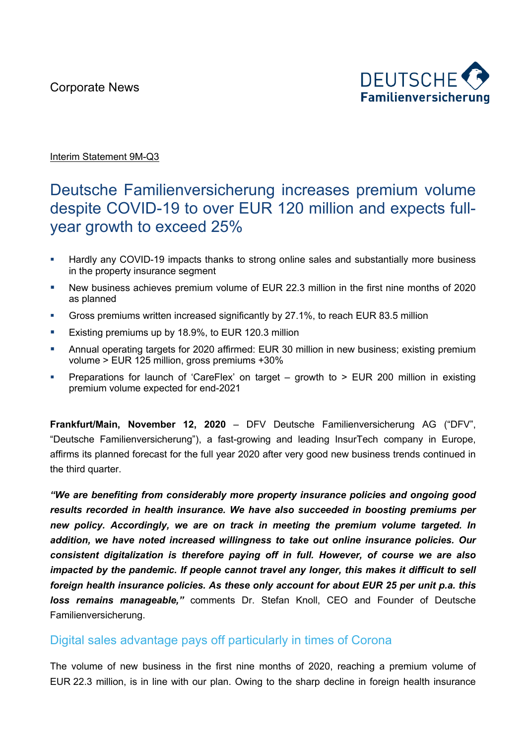Corporate News



#### Interim Statement 9M-Q3

# Deutsche Familienversicherung increases premium volume despite COVID-19 to over EUR 120 million and expects fullyear growth to exceed 25%

- **Hardly any COVID-19 impacts thanks to strong online sales and substantially more business** in the property insurance segment
- § New business achieves premium volume of EUR 22.3 million in the first nine months of 2020 as planned
- § Gross premiums written increased significantly by 27.1%, to reach EUR 83.5 million
- Existing premiums up by 18.9%, to EUR 120.3 million
- Annual operating targets for 2020 affirmed: EUR 30 million in new business; existing premium volume > EUR 125 million, gross premiums +30%
- § Preparations for launch of 'CareFlex' on target growth to > EUR 200 million in existing premium volume expected for end-2021

**Frankfurt/Main, November 12, 2020** – DFV Deutsche Familienversicherung AG ("DFV", "Deutsche Familienversicherung"), a fast-growing and leading InsurTech company in Europe, affirms its planned forecast for the full year 2020 after very good new business trends continued in the third quarter.

*"We are benefiting from considerably more property insurance policies and ongoing good results recorded in health insurance. We have also succeeded in boosting premiums per new policy. Accordingly, we are on track in meeting the premium volume targeted. In addition, we have noted increased willingness to take out online insurance policies. Our consistent digitalization is therefore paying off in full. However, of course we are also impacted by the pandemic. If people cannot travel any longer, this makes it difficult to sell foreign health insurance policies. As these only account for about EUR 25 per unit p.a. this loss remains manageable,"* comments Dr. Stefan Knoll, CEO and Founder of Deutsche Familienversicherung.

### Digital sales advantage pays off particularly in times of Corona

The volume of new business in the first nine months of 2020, reaching a premium volume of EUR 22.3 million, is in line with our plan. Owing to the sharp decline in foreign health insurance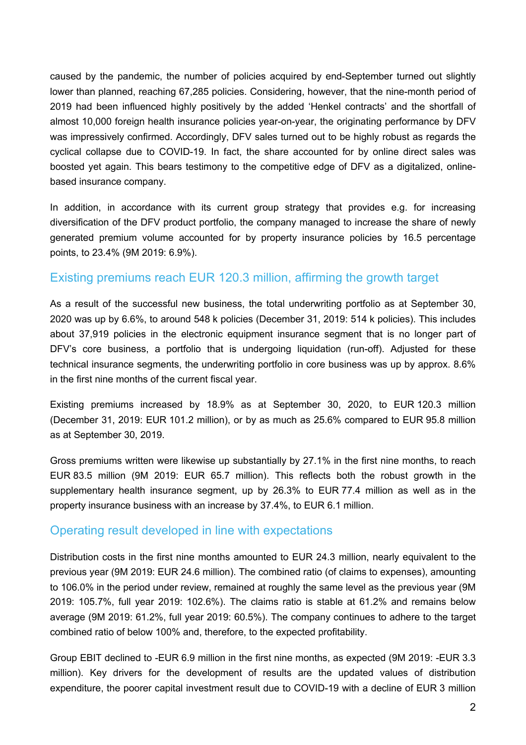caused by the pandemic, the number of policies acquired by end-September turned out slightly lower than planned, reaching 67,285 policies. Considering, however, that the nine-month period of 2019 had been influenced highly positively by the added 'Henkel contracts' and the shortfall of almost 10,000 foreign health insurance policies year-on-year, the originating performance by DFV was impressively confirmed. Accordingly, DFV sales turned out to be highly robust as regards the cyclical collapse due to COVID-19. In fact, the share accounted for by online direct sales was boosted yet again. This bears testimony to the competitive edge of DFV as a digitalized, onlinebased insurance company.

In addition, in accordance with its current group strategy that provides e.g. for increasing diversification of the DFV product portfolio, the company managed to increase the share of newly generated premium volume accounted for by property insurance policies by 16.5 percentage points, to 23.4% (9M 2019: 6.9%).

#### Existing premiums reach EUR 120.3 million, affirming the growth target

As a result of the successful new business, the total underwriting portfolio as at September 30, 2020 was up by 6.6%, to around 548 k policies (December 31, 2019: 514 k policies). This includes about 37,919 policies in the electronic equipment insurance segment that is no longer part of DFV's core business, a portfolio that is undergoing liquidation (run-off). Adjusted for these technical insurance segments, the underwriting portfolio in core business was up by approx. 8.6% in the first nine months of the current fiscal year.

Existing premiums increased by 18.9% as at September 30, 2020, to EUR 120.3 million (December 31, 2019: EUR 101.2 million), or by as much as 25.6% compared to EUR 95.8 million as at September 30, 2019.

Gross premiums written were likewise up substantially by 27.1% in the first nine months, to reach EUR 83.5 million (9M 2019: EUR 65.7 million). This reflects both the robust growth in the supplementary health insurance segment, up by 26.3% to EUR 77.4 million as well as in the property insurance business with an increase by 37.4%, to EUR 6.1 million.

#### Operating result developed in line with expectations

Distribution costs in the first nine months amounted to EUR 24.3 million, nearly equivalent to the previous year (9M 2019: EUR 24.6 million). The combined ratio (of claims to expenses), amounting to 106.0% in the period under review, remained at roughly the same level as the previous year (9M 2019: 105.7%, full year 2019: 102.6%). The claims ratio is stable at 61.2% and remains below average (9M 2019: 61.2%, full year 2019: 60.5%). The company continues to adhere to the target combined ratio of below 100% and, therefore, to the expected profitability.

Group EBIT declined to -EUR 6.9 million in the first nine months, as expected (9M 2019: -EUR 3.3 million). Key drivers for the development of results are the updated values of distribution expenditure, the poorer capital investment result due to COVID-19 with a decline of EUR 3 million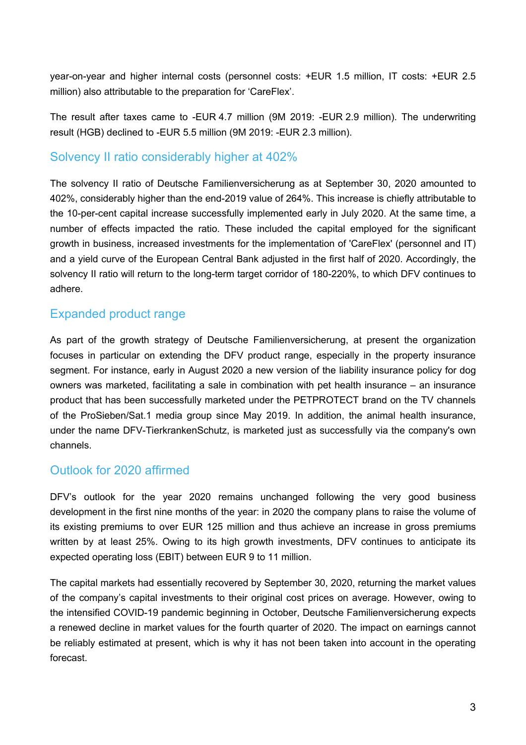year-on-year and higher internal costs (personnel costs: +EUR 1.5 million, IT costs: +EUR 2.5 million) also attributable to the preparation for 'CareFlex'.

The result after taxes came to -EUR 4.7 million (9M 2019: -EUR 2.9 million). The underwriting result (HGB) declined to -EUR 5.5 million (9M 2019: -EUR 2.3 million).

#### Solvency II ratio considerably higher at 402%

The solvency II ratio of Deutsche Familienversicherung as at September 30, 2020 amounted to 402%, considerably higher than the end-2019 value of 264%. This increase is chiefly attributable to the 10-per-cent capital increase successfully implemented early in July 2020. At the same time, a number of effects impacted the ratio. These included the capital employed for the significant growth in business, increased investments for the implementation of 'CareFlex' (personnel and IT) and a yield curve of the European Central Bank adjusted in the first half of 2020. Accordingly, the solvency II ratio will return to the long-term target corridor of 180-220%, to which DFV continues to adhere.

### Expanded product range

As part of the growth strategy of Deutsche Familienversicherung, at present the organization focuses in particular on extending the DFV product range, especially in the property insurance segment. For instance, early in August 2020 a new version of the liability insurance policy for dog owners was marketed, facilitating a sale in combination with pet health insurance – an insurance product that has been successfully marketed under the PETPROTECT brand on the TV channels of the ProSieben/Sat.1 media group since May 2019. In addition, the animal health insurance, under the name DFV-TierkrankenSchutz, is marketed just as successfully via the company's own channels.

### Outlook for 2020 affirmed

DFV's outlook for the year 2020 remains unchanged following the very good business development in the first nine months of the year: in 2020 the company plans to raise the volume of its existing premiums to over EUR 125 million and thus achieve an increase in gross premiums written by at least 25%. Owing to its high growth investments, DFV continues to anticipate its expected operating loss (EBIT) between EUR 9 to 11 million.

The capital markets had essentially recovered by September 30, 2020, returning the market values of the company's capital investments to their original cost prices on average. However, owing to the intensified COVID-19 pandemic beginning in October, Deutsche Familienversicherung expects a renewed decline in market values for the fourth quarter of 2020. The impact on earnings cannot be reliably estimated at present, which is why it has not been taken into account in the operating forecast.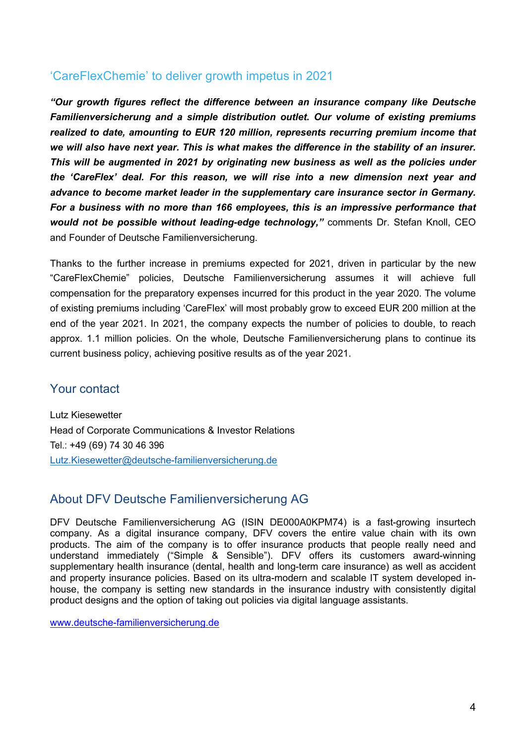## 'CareFlexChemie' to deliver growth impetus in 2021

*"Our growth figures reflect the difference between an insurance company like Deutsche Familienversicherung and a simple distribution outlet. Our volume of existing premiums realized to date, amounting to EUR 120 million, represents recurring premium income that we will also have next year. This is what makes the difference in the stability of an insurer. This will be augmented in 2021 by originating new business as well as the policies under the 'CareFlex' deal. For this reason, we will rise into a new dimension next year and advance to become market leader in the supplementary care insurance sector in Germany. For a business with no more than 166 employees, this is an impressive performance that would not be possible without leading-edge technology,"* comments Dr. Stefan Knoll, CEO and Founder of Deutsche Familienversicherung.

Thanks to the further increase in premiums expected for 2021, driven in particular by the new "CareFlexChemie" policies, Deutsche Familienversicherung assumes it will achieve full compensation for the preparatory expenses incurred for this product in the year 2020. The volume of existing premiums including 'CareFlex' will most probably grow to exceed EUR 200 million at the end of the year 2021. In 2021, the company expects the number of policies to double, to reach approx. 1.1 million policies. On the whole, Deutsche Familienversicherung plans to continue its current business policy, achieving positive results as of the year 2021.

### Your contact

Lutz Kiesewetter Head of Corporate Communications & Investor Relations Tel.: +49 (69) 74 30 46 396 Lutz.Kiesewetter@deutsche-familienversicherung.de

## About DFV Deutsche Familienversicherung AG

DFV Deutsche Familienversicherung AG (ISIN DE000A0KPM74) is a fast-growing insurtech company. As a digital insurance company, DFV covers the entire value chain with its own products. The aim of the company is to offer insurance products that people really need and understand immediately ("Simple & Sensible"). DFV offers its customers award-winning supplementary health insurance (dental, health and long-term care insurance) as well as accident and property insurance policies. Based on its ultra-modern and scalable IT system developed inhouse, the company is setting new standards in the insurance industry with consistently digital product designs and the option of taking out policies via digital language assistants.

www.deutsche-familienversicherung.de